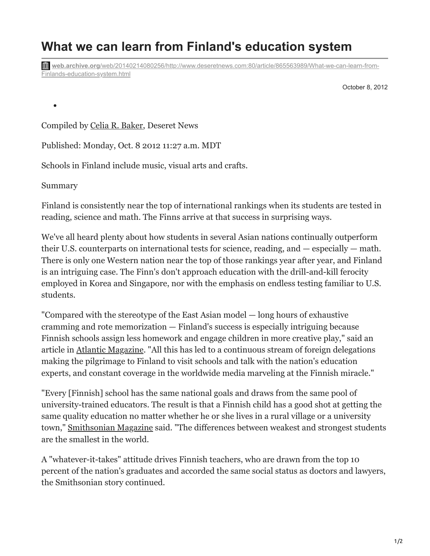## **What we can learn from Finland's education system**

**web.archive.org**[/web/20140214080256/http://www.deseretnews.com:80/article/865563989/What-we-can-learn-from-](https://web.archive.org/web/20140214080256/http://www.deseretnews.com:80/article/865563989/What-we-can-learn-from-Finlands-education-system.html?pg=1)Finlands-education-system.html

October 8, 2012

Compiled by [Celia R. Baker,](https://web.archive.org/web/20140214080256/http://www.deseretnews.com/author/23023/Celia-R-Baker.html) Deseret News

Published: Monday, Oct. 8 2012 11:27 a.m. MDT

Schools in Finland include music, visual arts and crafts.

Summary

 $\bullet$ 

Finland is consistently near the top of international rankings when its students are tested in reading, science and math. The Finns arrive at that success in surprising ways.

We've all heard plenty about how students in several Asian nations continually outperform their U.S. counterparts on international tests for science, reading, and — especially — math. There is only one Western nation near the top of those rankings year after year, and Finland is an intriguing case. The Finn's don't approach education with the drill-and-kill ferocity employed in Korea and Singapore, nor with the emphasis on endless testing familiar to U.S. students.

"Compared with the stereotype of the East Asian model — long hours of exhaustive cramming and rote memorization — Finland's success is especially intriguing because Finnish schools assign less homework and engage children in more creative play," said an article in [Atlantic Magazine.](https://web.archive.org/web/20140214080256/http://www.theatlantic.com/national/archive/2011/12/what-americans-keep-ignoring-about-finlands-school-success/250564/) "All this has led to a continuous stream of foreign delegations making the pilgrimage to Finland to visit schools and talk with the nation's education experts, and constant coverage in the worldwide media marveling at the Finnish miracle."

"Every [Finnish] school has the same national goals and draws from the same pool of university-trained educators. The result is that a Finnish child has a good shot at getting the same quality education no matter whether he or she lives in a rural village or a university town," [Smithsonian Magazine](https://web.archive.org/web/20140214080256/http://www.smithsonianmag.com/people-places/Why-Are-Finlands-Schools-Successful.html?c=y&page=2) said. "The differences between weakest and strongest students are the smallest in the world.

A "whatever-it-takes" attitude drives Finnish teachers, who are drawn from the top 10 percent of the nation's graduates and accorded the same social status as doctors and lawyers, the Smithsonian story continued.